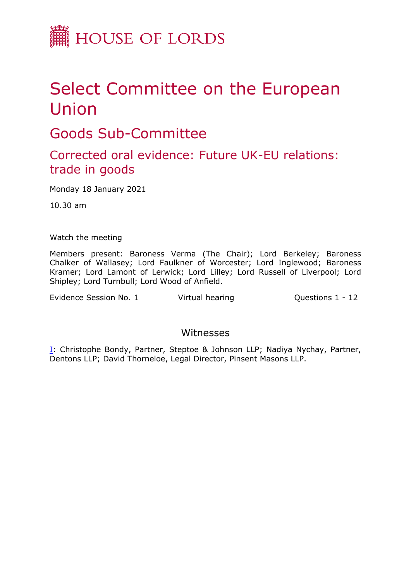

## Select Committee on the European Union

Goods Sub-Committee

## Corrected oral evidence: Future UK-EU relations: trade in goods

Monday 18 January 2021

10.30 am

Watch the meeting

Members present: Baroness Verma (The Chair); Lord Berkeley; Baroness Chalker of Wallasey; Lord Faulkner of Worcester; Lord Inglewood; Baroness Kramer; Lord Lamont of Lerwick; Lord Lilley; Lord Russell of Liverpool; Lord Shipley; Lord Turnbull; Lord Wood of Anfield.

Evidence Session No. 1 Virtual hearing Cuestions 1 - 12

## Witnesses

[I:](#page-1-0) Christophe Bondy, Partner, Steptoe & Johnson LLP; Nadiya Nychay, Partner, Dentons LLP; David Thorneloe, Legal Director, Pinsent Masons LLP.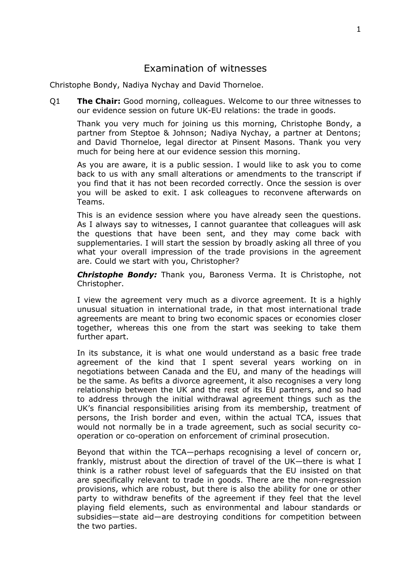## <span id="page-1-0"></span>Examination of witnesses

Christophe Bondy, Nadiya Nychay and David Thorneloe.

Q1 **The Chair:** Good morning, colleagues. Welcome to our three witnesses to our evidence session on future UK-EU relations: the trade in goods.

Thank you very much for joining us this morning, Christophe Bondy, a partner from Steptoe & Johnson; Nadiya Nychay, a partner at Dentons; and David Thorneloe, legal director at Pinsent Masons. Thank you very much for being here at our evidence session this morning.

As you are aware, it is a public session. I would like to ask you to come back to us with any small alterations or amendments to the transcript if you find that it has not been recorded correctly. Once the session is over you will be asked to exit. I ask colleagues to reconvene afterwards on Teams.

This is an evidence session where you have already seen the questions. As I always say to witnesses, I cannot guarantee that colleagues will ask the questions that have been sent, and they may come back with supplementaries. I will start the session by broadly asking all three of you what your overall impression of the trade provisions in the agreement are. Could we start with you, Christopher?

*Christophe Bondy:* Thank you, Baroness Verma. It is Christophe, not Christopher.

I view the agreement very much as a divorce agreement. It is a highly unusual situation in international trade, in that most international trade agreements are meant to bring two economic spaces or economies closer together, whereas this one from the start was seeking to take them further apart.

In its substance, it is what one would understand as a basic free trade agreement of the kind that I spent several years working on in negotiations between Canada and the EU, and many of the headings will be the same. As befits a divorce agreement, it also recognises a very long relationship between the UK and the rest of its EU partners, and so had to address through the initial withdrawal agreement things such as the UK's financial responsibilities arising from its membership, treatment of persons, the Irish border and even, within the actual TCA, issues that would not normally be in a trade agreement, such as social security cooperation or co-operation on enforcement of criminal prosecution.

Beyond that within the TCA—perhaps recognising a level of concern or, frankly, mistrust about the direction of travel of the UK—there is what I think is a rather robust level of safeguards that the EU insisted on that are specifically relevant to trade in goods. There are the non-regression provisions, which are robust, but there is also the ability for one or other party to withdraw benefits of the agreement if they feel that the level playing field elements, such as environmental and labour standards or subsidies—state aid—are destroying conditions for competition between the two parties.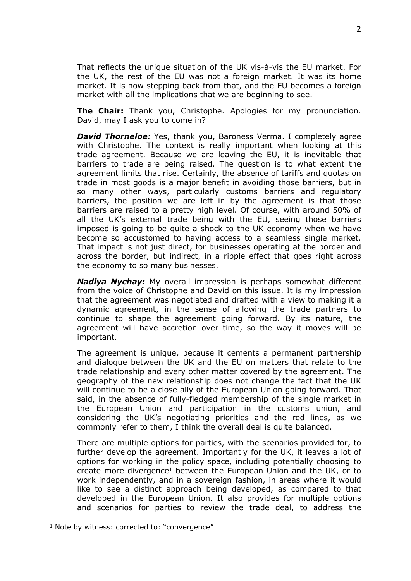That reflects the unique situation of the UK vis-à-vis the EU market. For the UK, the rest of the EU was not a foreign market. It was its home market. It is now stepping back from that, and the EU becomes a foreign market with all the implications that we are beginning to see.

**The Chair:** Thank you, Christophe. Apologies for my pronunciation. David, may I ask you to come in?

*David Thorneloe:* Yes, thank you, Baroness Verma. I completely agree with Christophe. The context is really important when looking at this trade agreement. Because we are leaving the EU, it is inevitable that barriers to trade are being raised. The question is to what extent the agreement limits that rise. Certainly, the absence of tariffs and quotas on trade in most goods is a major benefit in avoiding those barriers, but in so many other ways, particularly customs barriers and regulatory barriers, the position we are left in by the agreement is that those barriers are raised to a pretty high level. Of course, with around 50% of all the UK's external trade being with the EU, seeing those barriers imposed is going to be quite a shock to the UK economy when we have become so accustomed to having access to a seamless single market. That impact is not just direct, for businesses operating at the border and across the border, but indirect, in a ripple effect that goes right across the economy to so many businesses.

*Nadiya Nychay:* My overall impression is perhaps somewhat different from the voice of Christophe and David on this issue. It is my impression that the agreement was negotiated and drafted with a view to making it a dynamic agreement, in the sense of allowing the trade partners to continue to shape the agreement going forward. By its nature, the agreement will have accretion over time, so the way it moves will be important.

The agreement is unique, because it cements a permanent partnership and dialogue between the UK and the EU on matters that relate to the trade relationship and every other matter covered by the agreement. The geography of the new relationship does not change the fact that the UK will continue to be a close ally of the European Union going forward. That said, in the absence of fully-fledged membership of the single market in the European Union and participation in the customs union, and considering the UK's negotiating priorities and the red lines, as we commonly refer to them, I think the overall deal is quite balanced.

There are multiple options for parties, with the scenarios provided for, to further develop the agreement. Importantly for the UK, it leaves a lot of options for working in the policy space, including potentially choosing to create more divergence<sup>1</sup> between the European Union and the UK, or to work independently, and in a sovereign fashion, in areas where it would like to see a distinct approach being developed, as compared to that developed in the European Union. It also provides for multiple options and scenarios for parties to review the trade deal, to address the

<sup>&</sup>lt;sup>1</sup> Note by witness: corrected to: "convergence"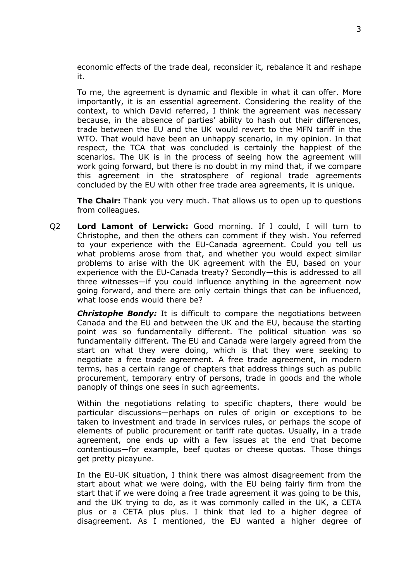economic effects of the trade deal, reconsider it, rebalance it and reshape it.

To me, the agreement is dynamic and flexible in what it can offer. More importantly, it is an essential agreement. Considering the reality of the context, to which David referred, I think the agreement was necessary because, in the absence of parties' ability to hash out their differences, trade between the EU and the UK would revert to the MFN tariff in the WTO. That would have been an unhappy scenario, in my opinion. In that respect, the TCA that was concluded is certainly the happiest of the scenarios. The UK is in the process of seeing how the agreement will work going forward, but there is no doubt in my mind that, if we compare this agreement in the stratosphere of regional trade agreements concluded by the EU with other free trade area agreements, it is unique.

**The Chair:** Thank you very much. That allows us to open up to questions from colleagues.

Q2 **Lord Lamont of Lerwick:** Good morning. If I could, I will turn to Christophe, and then the others can comment if they wish. You referred to your experience with the EU-Canada agreement. Could you tell us what problems arose from that, and whether you would expect similar problems to arise with the UK agreement with the EU, based on your experience with the EU-Canada treaty? Secondly—this is addressed to all three witnesses—if you could influence anything in the agreement now going forward, and there are only certain things that can be influenced, what loose ends would there be?

*Christophe Bondy:* It is difficult to compare the negotiations between Canada and the EU and between the UK and the EU, because the starting point was so fundamentally different. The political situation was so fundamentally different. The EU and Canada were largely agreed from the start on what they were doing, which is that they were seeking to negotiate a free trade agreement. A free trade agreement, in modern terms, has a certain range of chapters that address things such as public procurement, temporary entry of persons, trade in goods and the whole panoply of things one sees in such agreements.

Within the negotiations relating to specific chapters, there would be particular discussions—perhaps on rules of origin or exceptions to be taken to investment and trade in services rules, or perhaps the scope of elements of public procurement or tariff rate quotas. Usually, in a trade agreement, one ends up with a few issues at the end that become contentious—for example, beef quotas or cheese quotas. Those things get pretty picayune.

In the EU-UK situation, I think there was almost disagreement from the start about what we were doing, with the EU being fairly firm from the start that if we were doing a free trade agreement it was going to be this, and the UK trying to do, as it was commonly called in the UK, a CETA plus or a CETA plus plus. I think that led to a higher degree of disagreement. As I mentioned, the EU wanted a higher degree of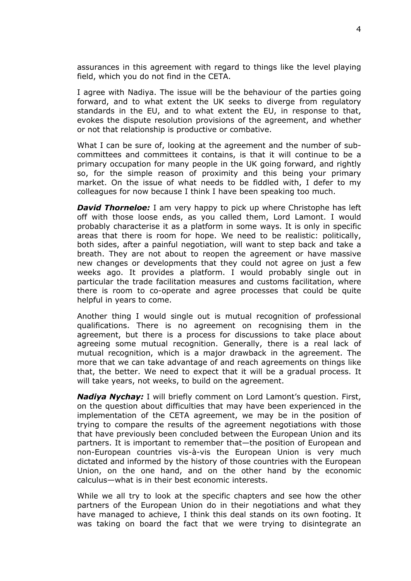assurances in this agreement with regard to things like the level playing field, which you do not find in the CETA.

I agree with Nadiya. The issue will be the behaviour of the parties going forward, and to what extent the UK seeks to diverge from regulatory standards in the EU, and to what extent the EU, in response to that, evokes the dispute resolution provisions of the agreement, and whether or not that relationship is productive or combative.

What I can be sure of, looking at the agreement and the number of subcommittees and committees it contains, is that it will continue to be a primary occupation for many people in the UK going forward, and rightly so, for the simple reason of proximity and this being your primary market. On the issue of what needs to be fiddled with, I defer to my colleagues for now because I think I have been speaking too much.

*David Thorneloe:* I am very happy to pick up where Christophe has left off with those loose ends, as you called them, Lord Lamont. I would probably characterise it as a platform in some ways. It is only in specific areas that there is room for hope. We need to be realistic: politically, both sides, after a painful negotiation, will want to step back and take a breath. They are not about to reopen the agreement or have massive new changes or developments that they could not agree on just a few weeks ago. It provides a platform. I would probably single out in particular the trade facilitation measures and customs facilitation, where there is room to co-operate and agree processes that could be quite helpful in years to come.

Another thing I would single out is mutual recognition of professional qualifications. There is no agreement on recognising them in the agreement, but there is a process for discussions to take place about agreeing some mutual recognition. Generally, there is a real lack of mutual recognition, which is a major drawback in the agreement. The more that we can take advantage of and reach agreements on things like that, the better. We need to expect that it will be a gradual process. It will take years, not weeks, to build on the agreement.

*Nadiya Nychay:* I will briefly comment on Lord Lamont's question. First, on the question about difficulties that may have been experienced in the implementation of the CETA agreement, we may be in the position of trying to compare the results of the agreement negotiations with those that have previously been concluded between the European Union and its partners. It is important to remember that—the position of European and non-European countries vis-à-vis the European Union is very much dictated and informed by the history of those countries with the European Union, on the one hand, and on the other hand by the economic calculus—what is in their best economic interests.

While we all try to look at the specific chapters and see how the other partners of the European Union do in their negotiations and what they have managed to achieve, I think this deal stands on its own footing. It was taking on board the fact that we were trying to disintegrate an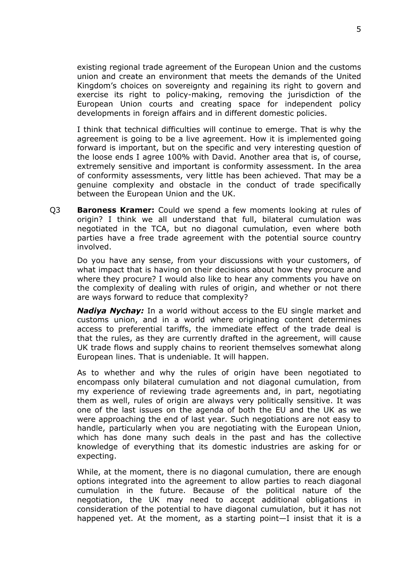existing regional trade agreement of the European Union and the customs union and create an environment that meets the demands of the United Kingdom's choices on sovereignty and regaining its right to govern and exercise its right to policy-making, removing the jurisdiction of the European Union courts and creating space for independent policy developments in foreign affairs and in different domestic policies.

I think that technical difficulties will continue to emerge. That is why the agreement is going to be a live agreement. How it is implemented going forward is important, but on the specific and very interesting question of the loose ends I agree 100% with David. Another area that is, of course, extremely sensitive and important is conformity assessment. In the area of conformity assessments, very little has been achieved. That may be a genuine complexity and obstacle in the conduct of trade specifically between the European Union and the UK.

Q3 **Baroness Kramer:** Could we spend a few moments looking at rules of origin? I think we all understand that full, bilateral cumulation was negotiated in the TCA, but no diagonal cumulation, even where both parties have a free trade agreement with the potential source country involved.

Do you have any sense, from your discussions with your customers, of what impact that is having on their decisions about how they procure and where they procure? I would also like to hear any comments you have on the complexity of dealing with rules of origin, and whether or not there are ways forward to reduce that complexity?

*Nadiya Nychay:* In a world without access to the EU single market and customs union, and in a world where originating content determines access to preferential tariffs, the immediate effect of the trade deal is that the rules, as they are currently drafted in the agreement, will cause UK trade flows and supply chains to reorient themselves somewhat along European lines. That is undeniable. It will happen.

As to whether and why the rules of origin have been negotiated to encompass only bilateral cumulation and not diagonal cumulation, from my experience of reviewing trade agreements and, in part, negotiating them as well, rules of origin are always very politically sensitive. It was one of the last issues on the agenda of both the EU and the UK as we were approaching the end of last year. Such negotiations are not easy to handle, particularly when you are negotiating with the European Union, which has done many such deals in the past and has the collective knowledge of everything that its domestic industries are asking for or expecting.

While, at the moment, there is no diagonal cumulation, there are enough options integrated into the agreement to allow parties to reach diagonal cumulation in the future. Because of the political nature of the negotiation, the UK may need to accept additional obligations in consideration of the potential to have diagonal cumulation, but it has not happened yet. At the moment, as a starting point—I insist that it is a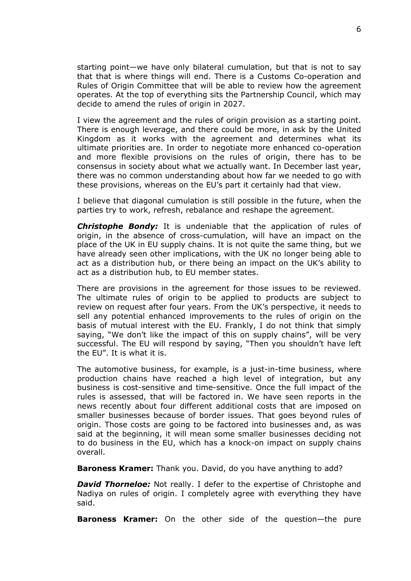starting point—we have only bilateral cumulation, but that is not to say that that is where things will end. There is a Customs Co-operation and Rules of Origin Committee that will be able to review how the agreement operates. At the top of everything sits the Partnership Council, which may decide to amend the rules of origin in 2027.

I view the agreement and the rules of origin provision as a starting point. There is enough leverage, and there could be more, in ask by the United Kingdom as it works with the agreement and determines what its ultimate priorities are. In order to negotiate more enhanced co-operation and more flexible provisions on the rules of origin, there has to be consensus in society about what we actually want. In December last year, there was no common understanding about how far we needed to go with these provisions, whereas on the EU's part it certainly had that view.

I believe that diagonal cumulation is still possible in the future, when the parties try to work, refresh, rebalance and reshape the agreement.

*Christophe Bondy:* It is undeniable that the application of rules of origin, in the absence of cross-cumulation, will have an impact on the place of the UK in EU supply chains. It is not quite the same thing, but we have already seen other implications, with the UK no longer being able to act as a distribution hub, or there being an impact on the UK's ability to act as a distribution hub, to EU member states.

There are provisions in the agreement for those issues to be reviewed. The ultimate rules of origin to be applied to products are subject to review on request after four years. From the UK's perspective, it needs to sell any potential enhanced improvements to the rules of origin on the basis of mutual interest with the EU. Frankly, I do not think that simply saying, "We don't like the impact of this on supply chains", will be very successful. The EU will respond by saying, "Then you shouldn't have left the EU". It is what it is.

The automotive business, for example, is a just-in-time business, where production chains have reached a high level of integration, but any business is cost-sensitive and time-sensitive. Once the full impact of the rules is assessed, that will be factored in. We have seen reports in the news recently about four different additional costs that are imposed on smaller businesses because of border issues. That goes beyond rules of origin. Those costs are going to be factored into businesses and, as was said at the beginning, it will mean some smaller businesses deciding not to do business in the EU, which has a knock-on impact on supply chains overall.

**Baroness Kramer:** Thank you. David, do you have anything to add?

*David Thorneloe:* Not really. I defer to the expertise of Christophe and Nadiya on rules of origin. I completely agree with everything they have said.

**Baroness Kramer:** On the other side of the question—the pure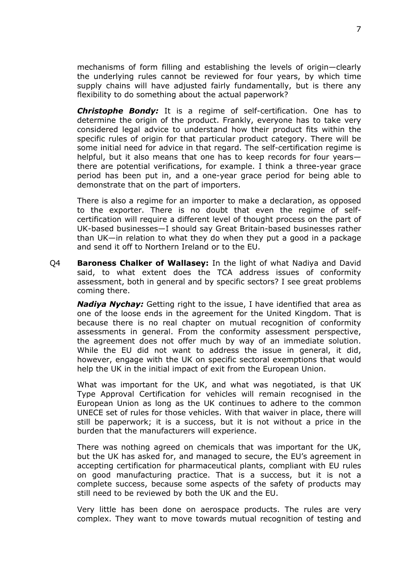mechanisms of form filling and establishing the levels of origin—clearly the underlying rules cannot be reviewed for four years, by which time supply chains will have adjusted fairly fundamentally, but is there any flexibility to do something about the actual paperwork?

*Christophe Bondy:* It is a regime of self-certification. One has to determine the origin of the product. Frankly, everyone has to take very considered legal advice to understand how their product fits within the specific rules of origin for that particular product category. There will be some initial need for advice in that regard. The self-certification regime is helpful, but it also means that one has to keep records for four years there are potential verifications, for example. I think a three-year grace period has been put in, and a one-year grace period for being able to demonstrate that on the part of importers.

There is also a regime for an importer to make a declaration, as opposed to the exporter. There is no doubt that even the regime of selfcertification will require a different level of thought process on the part of UK-based businesses—I should say Great Britain-based businesses rather than UK—in relation to what they do when they put a good in a package and send it off to Northern Ireland or to the EU.

Q4 **Baroness Chalker of Wallasey:** In the light of what Nadiya and David said, to what extent does the TCA address issues of conformity assessment, both in general and by specific sectors? I see great problems coming there.

*Nadiya Nychay:* Getting right to the issue, I have identified that area as one of the loose ends in the agreement for the United Kingdom. That is because there is no real chapter on mutual recognition of conformity assessments in general. From the conformity assessment perspective, the agreement does not offer much by way of an immediate solution. While the EU did not want to address the issue in general, it did, however, engage with the UK on specific sectoral exemptions that would help the UK in the initial impact of exit from the European Union.

What was important for the UK, and what was negotiated, is that UK Type Approval Certification for vehicles will remain recognised in the European Union as long as the UK continues to adhere to the common UNECE set of rules for those vehicles. With that waiver in place, there will still be paperwork; it is a success, but it is not without a price in the burden that the manufacturers will experience.

There was nothing agreed on chemicals that was important for the UK, but the UK has asked for, and managed to secure, the EU's agreement in accepting certification for pharmaceutical plants, compliant with EU rules on good manufacturing practice. That is a success, but it is not a complete success, because some aspects of the safety of products may still need to be reviewed by both the UK and the EU.

Very little has been done on aerospace products. The rules are very complex. They want to move towards mutual recognition of testing and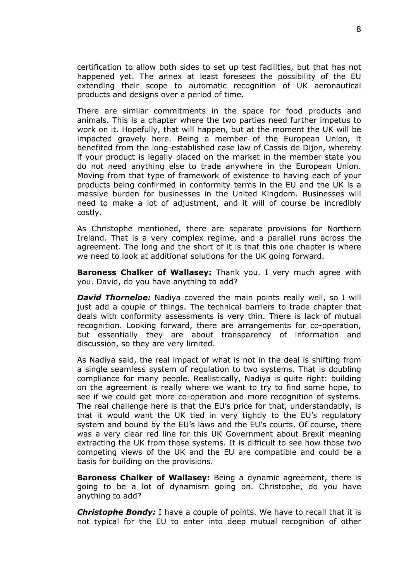certification to allow both sides to set up test facilities, but that has not happened yet. The annex at least foresees the possibility of the EU extending their scope to automatic recognition of UK aeronautical products and designs over a period of time.

There are similar commitments in the space for food products and animals. This is a chapter where the two parties need further impetus to work on it. Hopefully, that will happen, but at the moment the UK will be impacted gravely here. Being a member of the European Union, it benefited from the long-established case law of Cassis de Dijon, whereby if your product is legally placed on the market in the member state you do not need anything else to trade anywhere in the European Union. Moving from that type of framework of existence to having each of your products being confirmed in conformity terms in the EU and the UK is a massive burden for businesses in the United Kingdom. Businesses will need to make a lot of adjustment, and it will of course be incredibly costly.

As Christophe mentioned, there are separate provisions for Northern Ireland. That is a very complex regime, and a parallel runs across the agreement. The long and the short of it is that this one chapter is where we need to look at additional solutions for the UK going forward.

**Baroness Chalker of Wallasey:** Thank you. I very much agree with you. David, do you have anything to add?

*David Thorneloe:* Nadiya covered the main points really well, so I will just add a couple of things. The technical barriers to trade chapter that deals with conformity assessments is very thin. There is lack of mutual recognition. Looking forward, there are arrangements for co-operation, but essentially they are about transparency of information and discussion, so they are very limited.

As Nadiya said, the real impact of what is not in the deal is shifting from a single seamless system of regulation to two systems. That is doubling compliance for many people. Realistically, Nadiya is quite right: building on the agreement is really where we want to try to find some hope, to see if we could get more co-operation and more recognition of systems. The real challenge here is that the EU's price for that, understandably, is that it would want the UK tied in very tightly to the EU's regulatory system and bound by the EU's laws and the EU's courts. Of course, there was a very clear red line for this UK Government about Brexit meaning extracting the UK from those systems. It is difficult to see how those two competing views of the UK and the EU are compatible and could be a basis for building on the provisions.

**Baroness Chalker of Wallasey:** Being a dynamic agreement, there is going to be a lot of dynamism going on. Christophe, do you have anything to add?

**Christophe Bondy:** I have a couple of points. We have to recall that it is not typical for the EU to enter into deep mutual recognition of other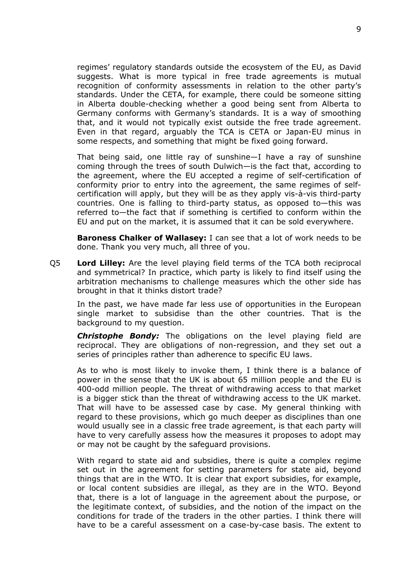regimes' regulatory standards outside the ecosystem of the EU, as David suggests. What is more typical in free trade agreements is mutual recognition of conformity assessments in relation to the other party's standards. Under the CETA, for example, there could be someone sitting in Alberta double-checking whether a good being sent from Alberta to Germany conforms with Germany's standards. It is a way of smoothing that, and it would not typically exist outside the free trade agreement. Even in that regard, arguably the TCA is CETA or Japan-EU minus in some respects, and something that might be fixed going forward.

That being said, one little ray of sunshine—I have a ray of sunshine coming through the trees of south Dulwich—is the fact that, according to the agreement, where the EU accepted a regime of self-certification of conformity prior to entry into the agreement, the same regimes of selfcertification will apply, but they will be as they apply vis-à-vis third-party countries. One is falling to third-party status, as opposed to—this was referred to—the fact that if something is certified to conform within the EU and put on the market, it is assumed that it can be sold everywhere.

**Baroness Chalker of Wallasey:** I can see that a lot of work needs to be done. Thank you very much, all three of you.

Q5 **Lord Lilley:** Are the level playing field terms of the TCA both reciprocal and symmetrical? In practice, which party is likely to find itself using the arbitration mechanisms to challenge measures which the other side has brought in that it thinks distort trade?

In the past, we have made far less use of opportunities in the European single market to subsidise than the other countries. That is the background to my question.

*Christophe Bondy:* The obligations on the level playing field are reciprocal. They are obligations of non-regression, and they set out a series of principles rather than adherence to specific EU laws.

As to who is most likely to invoke them, I think there is a balance of power in the sense that the UK is about 65 million people and the EU is 400-odd million people. The threat of withdrawing access to that market is a bigger stick than the threat of withdrawing access to the UK market. That will have to be assessed case by case. My general thinking with regard to these provisions, which go much deeper as disciplines than one would usually see in a classic free trade agreement, is that each party will have to very carefully assess how the measures it proposes to adopt may or may not be caught by the safeguard provisions.

With regard to state aid and subsidies, there is quite a complex regime set out in the agreement for setting parameters for state aid, beyond things that are in the WTO. It is clear that export subsidies, for example, or local content subsidies are illegal, as they are in the WTO. Beyond that, there is a lot of language in the agreement about the purpose, or the legitimate context, of subsidies, and the notion of the impact on the conditions for trade of the traders in the other parties. I think there will have to be a careful assessment on a case-by-case basis. The extent to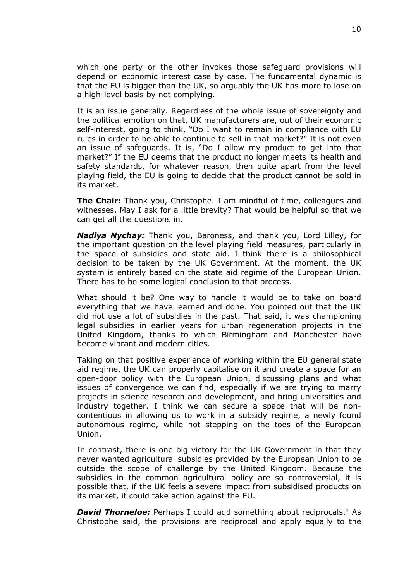which one party or the other invokes those safeguard provisions will depend on economic interest case by case. The fundamental dynamic is that the EU is bigger than the UK, so arguably the UK has more to lose on a high-level basis by not complying.

It is an issue generally. Regardless of the whole issue of sovereignty and the political emotion on that, UK manufacturers are, out of their economic self-interest, going to think, "Do I want to remain in compliance with EU rules in order to be able to continue to sell in that market?" It is not even an issue of safeguards. It is, "Do I allow my product to get into that market?" If the EU deems that the product no longer meets its health and safety standards, for whatever reason, then quite apart from the level playing field, the EU is going to decide that the product cannot be sold in its market.

**The Chair:** Thank you, Christophe. I am mindful of time, colleagues and witnesses. May I ask for a little brevity? That would be helpful so that we can get all the questions in.

*Nadiya Nychay:* Thank you, Baroness, and thank you, Lord Lilley, for the important question on the level playing field measures, particularly in the space of subsidies and state aid. I think there is a philosophical decision to be taken by the UK Government. At the moment, the UK system is entirely based on the state aid regime of the European Union. There has to be some logical conclusion to that process.

What should it be? One way to handle it would be to take on board everything that we have learned and done. You pointed out that the UK did not use a lot of subsidies in the past. That said, it was championing legal subsidies in earlier years for urban regeneration projects in the United Kingdom, thanks to which Birmingham and Manchester have become vibrant and modern cities.

Taking on that positive experience of working within the EU general state aid regime, the UK can properly capitalise on it and create a space for an open-door policy with the European Union, discussing plans and what issues of convergence we can find, especially if we are trying to marry projects in science research and development, and bring universities and industry together. I think we can secure a space that will be noncontentious in allowing us to work in a subsidy regime, a newly found autonomous regime, while not stepping on the toes of the European Union.

In contrast, there is one big victory for the UK Government in that they never wanted agricultural subsidies provided by the European Union to be outside the scope of challenge by the United Kingdom. Because the subsidies in the common agricultural policy are so controversial, it is possible that, if the UK feels a severe impact from subsidised products on its market, it could take action against the EU.

*David Thorneloe:* Perhaps I could add something about reciprocals.<sup>2</sup> As Christophe said, the provisions are reciprocal and apply equally to the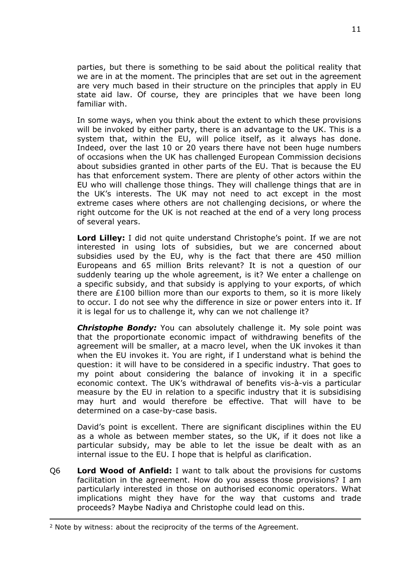parties, but there is something to be said about the political reality that we are in at the moment. The principles that are set out in the agreement are very much based in their structure on the principles that apply in EU state aid law. Of course, they are principles that we have been long familiar with.

In some ways, when you think about the extent to which these provisions will be invoked by either party, there is an advantage to the UK. This is a system that, within the EU, will police itself, as it always has done. Indeed, over the last 10 or 20 years there have not been huge numbers of occasions when the UK has challenged European Commission decisions about subsidies granted in other parts of the EU. That is because the EU has that enforcement system. There are plenty of other actors within the EU who will challenge those things. They will challenge things that are in the UK's interests. The UK may not need to act except in the most extreme cases where others are not challenging decisions, or where the right outcome for the UK is not reached at the end of a very long process of several years.

**Lord Lilley:** I did not quite understand Christophe's point. If we are not interested in using lots of subsidies, but we are concerned about subsidies used by the EU, why is the fact that there are 450 million Europeans and 65 million Brits relevant? It is not a question of our suddenly tearing up the whole agreement, is it? We enter a challenge on a specific subsidy, and that subsidy is applying to your exports, of which there are £100 billion more than our exports to them, so it is more likely to occur. I do not see why the difference in size or power enters into it. If it is legal for us to challenge it, why can we not challenge it?

**Christophe Bondy:** You can absolutely challenge it. My sole point was that the proportionate economic impact of withdrawing benefits of the agreement will be smaller, at a macro level, when the UK invokes it than when the EU invokes it. You are right, if I understand what is behind the question: it will have to be considered in a specific industry. That goes to my point about considering the balance of invoking it in a specific economic context. The UK's withdrawal of benefits vis-à-vis a particular measure by the EU in relation to a specific industry that it is subsidising may hurt and would therefore be effective. That will have to be determined on a case-by-case basis.

David's point is excellent. There are significant disciplines within the EU as a whole as between member states, so the UK, if it does not like a particular subsidy, may be able to let the issue be dealt with as an internal issue to the EU. I hope that is helpful as clarification.

Q6 **Lord Wood of Anfield:** I want to talk about the provisions for customs facilitation in the agreement. How do you assess those provisions? I am particularly interested in those on authorised economic operators. What implications might they have for the way that customs and trade proceeds? Maybe Nadiya and Christophe could lead on this.

<sup>&</sup>lt;sup>2</sup> Note by witness: about the reciprocity of the terms of the Agreement.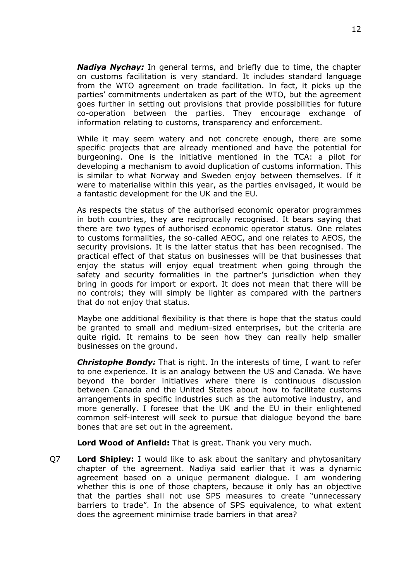*Nadiya Nychay:* In general terms, and briefly due to time, the chapter on customs facilitation is very standard. It includes standard language from the WTO agreement on trade facilitation. In fact, it picks up the parties' commitments undertaken as part of the WTO, but the agreement goes further in setting out provisions that provide possibilities for future co-operation between the parties. They encourage exchange of information relating to customs, transparency and enforcement.

While it may seem watery and not concrete enough, there are some specific projects that are already mentioned and have the potential for burgeoning. One is the initiative mentioned in the TCA: a pilot for developing a mechanism to avoid duplication of customs information. This is similar to what Norway and Sweden enjoy between themselves. If it were to materialise within this year, as the parties envisaged, it would be a fantastic development for the UK and the EU.

As respects the status of the authorised economic operator programmes in both countries, they are reciprocally recognised. It bears saying that there are two types of authorised economic operator status. One relates to customs formalities, the so-called AEOC, and one relates to AEOS, the security provisions. It is the latter status that has been recognised. The practical effect of that status on businesses will be that businesses that enjoy the status will enjoy equal treatment when going through the safety and security formalities in the partner's jurisdiction when they bring in goods for import or export. It does not mean that there will be no controls; they will simply be lighter as compared with the partners that do not enjoy that status.

Maybe one additional flexibility is that there is hope that the status could be granted to small and medium-sized enterprises, but the criteria are quite rigid. It remains to be seen how they can really help smaller businesses on the ground.

*Christophe Bondy:* That is right. In the interests of time, I want to refer to one experience. It is an analogy between the US and Canada. We have beyond the border initiatives where there is continuous discussion between Canada and the United States about how to facilitate customs arrangements in specific industries such as the automotive industry, and more generally. I foresee that the UK and the EU in their enlightened common self-interest will seek to pursue that dialogue beyond the bare bones that are set out in the agreement.

**Lord Wood of Anfield:** That is great. Thank you very much.

Q7 **Lord Shipley:** I would like to ask about the sanitary and phytosanitary chapter of the agreement. Nadiya said earlier that it was a dynamic agreement based on a unique permanent dialogue. I am wondering whether this is one of those chapters, because it only has an objective that the parties shall not use SPS measures to create "unnecessary barriers to trade". In the absence of SPS equivalence, to what extent does the agreement minimise trade barriers in that area?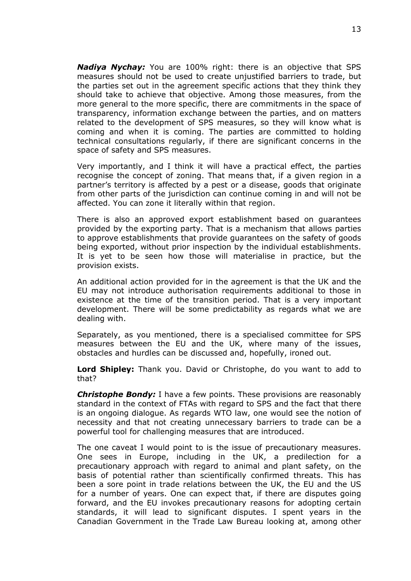*Nadiya Nychay:* You are 100% right: there is an objective that SPS measures should not be used to create unjustified barriers to trade, but the parties set out in the agreement specific actions that they think they should take to achieve that objective. Among those measures, from the more general to the more specific, there are commitments in the space of transparency, information exchange between the parties, and on matters related to the development of SPS measures, so they will know what is coming and when it is coming. The parties are committed to holding technical consultations regularly, if there are significant concerns in the space of safety and SPS measures.

Very importantly, and I think it will have a practical effect, the parties recognise the concept of zoning. That means that, if a given region in a partner's territory is affected by a pest or a disease, goods that originate from other parts of the jurisdiction can continue coming in and will not be affected. You can zone it literally within that region.

There is also an approved export establishment based on guarantees provided by the exporting party. That is a mechanism that allows parties to approve establishments that provide guarantees on the safety of goods being exported, without prior inspection by the individual establishments. It is yet to be seen how those will materialise in practice, but the provision exists.

An additional action provided for in the agreement is that the UK and the EU may not introduce authorisation requirements additional to those in existence at the time of the transition period. That is a very important development. There will be some predictability as regards what we are dealing with.

Separately, as you mentioned, there is a specialised committee for SPS measures between the EU and the UK, where many of the issues, obstacles and hurdles can be discussed and, hopefully, ironed out.

**Lord Shipley:** Thank you. David or Christophe, do you want to add to that?

*Christophe Bondy:* I have a few points. These provisions are reasonably standard in the context of FTAs with regard to SPS and the fact that there is an ongoing dialogue. As regards WTO law, one would see the notion of necessity and that not creating unnecessary barriers to trade can be a powerful tool for challenging measures that are introduced.

The one caveat I would point to is the issue of precautionary measures. One sees in Europe, including in the UK, a predilection for a precautionary approach with regard to animal and plant safety, on the basis of potential rather than scientifically confirmed threats. This has been a sore point in trade relations between the UK, the EU and the US for a number of years. One can expect that, if there are disputes going forward, and the EU invokes precautionary reasons for adopting certain standards, it will lead to significant disputes. I spent years in the Canadian Government in the Trade Law Bureau looking at, among other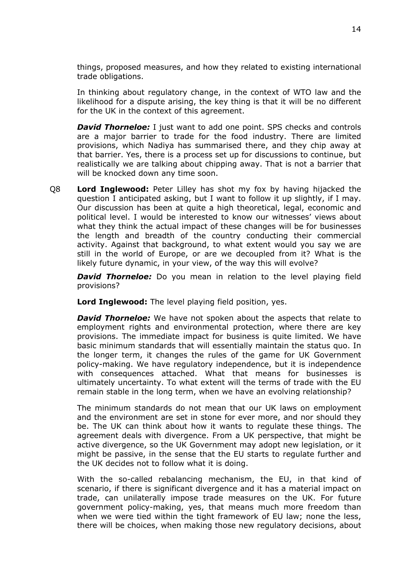things, proposed measures, and how they related to existing international trade obligations.

In thinking about regulatory change, in the context of WTO law and the likelihood for a dispute arising, the key thing is that it will be no different for the UK in the context of this agreement.

*David Thorneloe:* I just want to add one point. SPS checks and controls are a major barrier to trade for the food industry. There are limited provisions, which Nadiya has summarised there, and they chip away at that barrier. Yes, there is a process set up for discussions to continue, but realistically we are talking about chipping away. That is not a barrier that will be knocked down any time soon.

Q8 **Lord Inglewood:** Peter Lilley has shot my fox by having hijacked the question I anticipated asking, but I want to follow it up slightly, if I may. Our discussion has been at quite a high theoretical, legal, economic and political level. I would be interested to know our witnesses' views about what they think the actual impact of these changes will be for businesses the length and breadth of the country conducting their commercial activity. Against that background, to what extent would you say we are still in the world of Europe, or are we decoupled from it? What is the likely future dynamic, in your view, of the way this will evolve?

*David Thorneloe:* Do you mean in relation to the level playing field provisions?

**Lord Inglewood:** The level playing field position, yes.

*David Thorneloe:* We have not spoken about the aspects that relate to employment rights and environmental protection, where there are key provisions. The immediate impact for business is quite limited. We have basic minimum standards that will essentially maintain the status quo. In the longer term, it changes the rules of the game for UK Government policy-making. We have regulatory independence, but it is independence with consequences attached. What that means for businesses is ultimately uncertainty. To what extent will the terms of trade with the EU remain stable in the long term, when we have an evolving relationship?

The minimum standards do not mean that our UK laws on employment and the environment are set in stone for ever more, and nor should they be. The UK can think about how it wants to regulate these things. The agreement deals with divergence. From a UK perspective, that might be active divergence, so the UK Government may adopt new legislation, or it might be passive, in the sense that the EU starts to regulate further and the UK decides not to follow what it is doing.

With the so-called rebalancing mechanism, the EU, in that kind of scenario, if there is significant divergence and it has a material impact on trade, can unilaterally impose trade measures on the UK. For future government policy-making, yes, that means much more freedom than when we were tied within the tight framework of EU law; none the less, there will be choices, when making those new regulatory decisions, about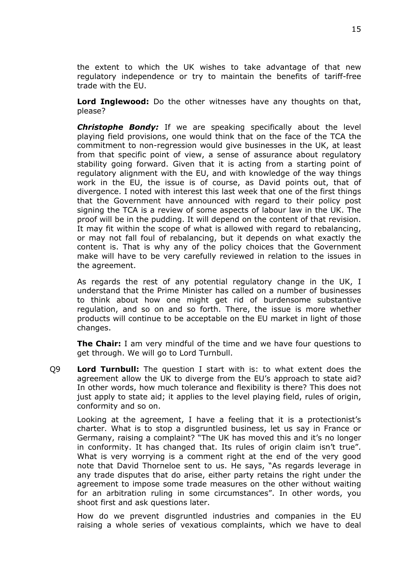the extent to which the UK wishes to take advantage of that new regulatory independence or try to maintain the benefits of tariff-free trade with the EU.

**Lord Inglewood:** Do the other witnesses have any thoughts on that, please?

*Christophe Bondy:* If we are speaking specifically about the level playing field provisions, one would think that on the face of the TCA the commitment to non-regression would give businesses in the UK, at least from that specific point of view, a sense of assurance about regulatory stability going forward. Given that it is acting from a starting point of regulatory alignment with the EU, and with knowledge of the way things work in the EU, the issue is of course, as David points out, that of divergence. I noted with interest this last week that one of the first things that the Government have announced with regard to their policy post signing the TCA is a review of some aspects of labour law in the UK. The proof will be in the pudding. It will depend on the content of that revision. It may fit within the scope of what is allowed with regard to rebalancing, or may not fall foul of rebalancing, but it depends on what exactly the content is. That is why any of the policy choices that the Government make will have to be very carefully reviewed in relation to the issues in the agreement.

As regards the rest of any potential regulatory change in the UK, I understand that the Prime Minister has called on a number of businesses to think about how one might get rid of burdensome substantive regulation, and so on and so forth. There, the issue is more whether products will continue to be acceptable on the EU market in light of those changes.

**The Chair:** I am very mindful of the time and we have four questions to get through. We will go to Lord Turnbull.

Q9 **Lord Turnbull:** The question I start with is: to what extent does the agreement allow the UK to diverge from the EU's approach to state aid? In other words, how much tolerance and flexibility is there? This does not just apply to state aid; it applies to the level playing field, rules of origin, conformity and so on.

Looking at the agreement, I have a feeling that it is a protectionist's charter. What is to stop a disgruntled business, let us say in France or Germany, raising a complaint? "The UK has moved this and it's no longer in conformity. It has changed that. Its rules of origin claim isn't true". What is very worrying is a comment right at the end of the very good note that David Thorneloe sent to us. He says, "As regards leverage in any trade disputes that do arise, either party retains the right under the agreement to impose some trade measures on the other without waiting for an arbitration ruling in some circumstances". In other words, you shoot first and ask questions later.

How do we prevent disgruntled industries and companies in the EU raising a whole series of vexatious complaints, which we have to deal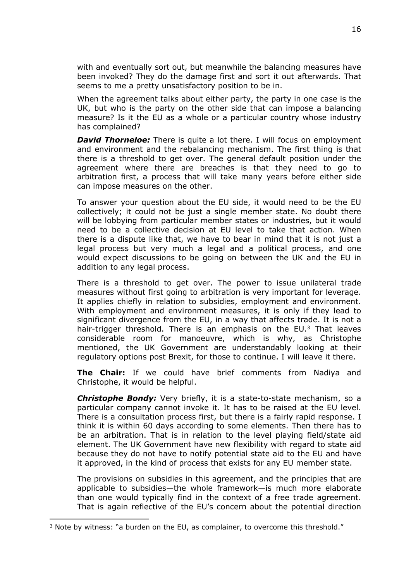with and eventually sort out, but meanwhile the balancing measures have been invoked? They do the damage first and sort it out afterwards. That seems to me a pretty unsatisfactory position to be in.

When the agreement talks about either party, the party in one case is the UK, but who is the party on the other side that can impose a balancing measure? Is it the EU as a whole or a particular country whose industry has complained?

*David Thorneloe:* There is quite a lot there. I will focus on employment and environment and the rebalancing mechanism. The first thing is that there is a threshold to get over. The general default position under the agreement where there are breaches is that they need to go to arbitration first, a process that will take many years before either side can impose measures on the other.

To answer your question about the EU side, it would need to be the EU collectively; it could not be just a single member state. No doubt there will be lobbying from particular member states or industries, but it would need to be a collective decision at EU level to take that action. When there is a dispute like that, we have to bear in mind that it is not just a legal process but very much a legal and a political process, and one would expect discussions to be going on between the UK and the EU in addition to any legal process.

There is a threshold to get over. The power to issue unilateral trade measures without first going to arbitration is very important for leverage. It applies chiefly in relation to subsidies, employment and environment. With employment and environment measures, it is only if they lead to significant divergence from the EU, in a way that affects trade. It is not a hair-trigger threshold. There is an emphasis on the  $EU^3$  That leaves considerable room for manoeuvre, which is why, as Christophe mentioned, the UK Government are understandably looking at their regulatory options post Brexit, for those to continue. I will leave it there.

**The Chair:** If we could have brief comments from Nadiya and Christophe, it would be helpful.

*Christophe Bondy:* Very briefly, it is a state-to-state mechanism, so a particular company cannot invoke it. It has to be raised at the EU level. There is a consultation process first, but there is a fairly rapid response. I think it is within 60 days according to some elements. Then there has to be an arbitration. That is in relation to the level playing field/state aid element. The UK Government have new flexibility with regard to state aid because they do not have to notify potential state aid to the EU and have it approved, in the kind of process that exists for any EU member state.

The provisions on subsidies in this agreement, and the principles that are applicable to subsidies—the whole framework—is much more elaborate than one would typically find in the context of a free trade agreement. That is again reflective of the EU's concern about the potential direction

 $3$  Note by witness: "a burden on the EU, as complainer, to overcome this threshold."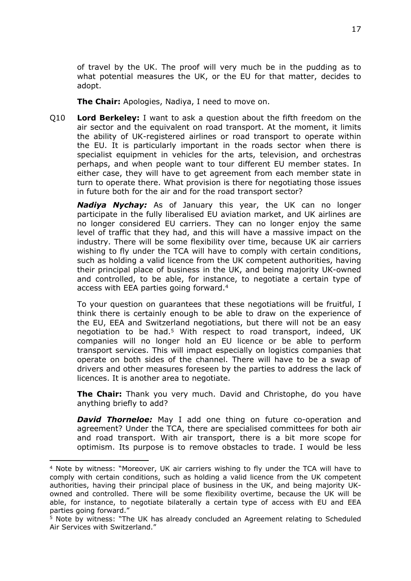of travel by the UK. The proof will very much be in the pudding as to what potential measures the UK, or the EU for that matter, decides to adopt.

**The Chair:** Apologies, Nadiya, I need to move on.

Q10 **Lord Berkeley:** I want to ask a question about the fifth freedom on the air sector and the equivalent on road transport. At the moment, it limits the ability of UK-registered airlines or road transport to operate within the EU. It is particularly important in the roads sector when there is specialist equipment in vehicles for the arts, television, and orchestras perhaps, and when people want to tour different EU member states. In either case, they will have to get agreement from each member state in turn to operate there. What provision is there for negotiating those issues in future both for the air and for the road transport sector?

*Nadiya Nychay:* As of January this year, the UK can no longer participate in the fully liberalised EU aviation market, and UK airlines are no longer considered EU carriers. They can no longer enjoy the same level of traffic that they had, and this will have a massive impact on the industry. There will be some flexibility over time, because UK air carriers wishing to fly under the TCA will have to comply with certain conditions, such as holding a valid licence from the UK competent authorities, having their principal place of business in the UK, and being majority UK-owned and controlled, to be able, for instance, to negotiate a certain type of access with EEA parties going forward.<sup>4</sup>

To your question on guarantees that these negotiations will be fruitful, I think there is certainly enough to be able to draw on the experience of the EU, EEA and Switzerland negotiations, but there will not be an easy negotiation to be had.<sup>5</sup> With respect to road transport, indeed, UK companies will no longer hold an EU licence or be able to perform transport services. This will impact especially on logistics companies that operate on both sides of the channel. There will have to be a swap of drivers and other measures foreseen by the parties to address the lack of licences. It is another area to negotiate.

**The Chair:** Thank you very much. David and Christophe, do you have anything briefly to add?

*David Thorneloe:* May I add one thing on future co-operation and agreement? Under the TCA, there are specialised committees for both air and road transport. With air transport, there is a bit more scope for optimism. Its purpose is to remove obstacles to trade. I would be less

<sup>4</sup> Note by witness: "Moreover, UK air carriers wishing to fly under the TCA will have to comply with certain conditions, such as holding a valid licence from the UK competent authorities, having their principal place of business in the UK, and being majority UKowned and controlled. There will be some flexibility overtime, because the UK will be able, for instance, to negotiate bilaterally a certain type of access with EU and EEA parties going forward."

<sup>5</sup> Note by witness: "The UK has already concluded an Agreement relating to Scheduled Air Services with Switzerland."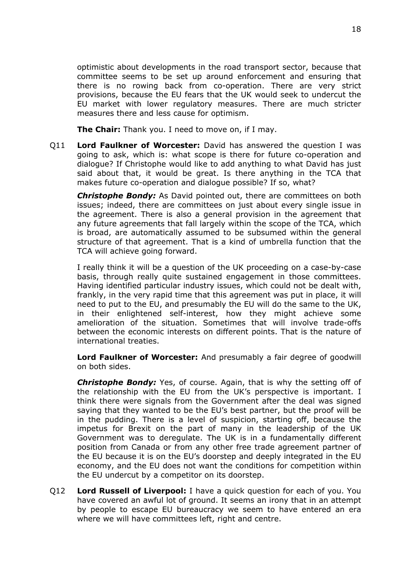optimistic about developments in the road transport sector, because that committee seems to be set up around enforcement and ensuring that there is no rowing back from co-operation. There are very strict provisions, because the EU fears that the UK would seek to undercut the EU market with lower regulatory measures. There are much stricter measures there and less cause for optimism.

**The Chair:** Thank you. I need to move on, if I may.

Q11 **Lord Faulkner of Worcester:** David has answered the question I was going to ask, which is: what scope is there for future co-operation and dialogue? If Christophe would like to add anything to what David has just said about that, it would be great. Is there anything in the TCA that makes future co-operation and dialogue possible? If so, what?

*Christophe Bondy:* As David pointed out, there are committees on both issues; indeed, there are committees on just about every single issue in the agreement. There is also a general provision in the agreement that any future agreements that fall largely within the scope of the TCA, which is broad, are automatically assumed to be subsumed within the general structure of that agreement. That is a kind of umbrella function that the TCA will achieve going forward.

I really think it will be a question of the UK proceeding on a case-by-case basis, through really quite sustained engagement in those committees. Having identified particular industry issues, which could not be dealt with, frankly, in the very rapid time that this agreement was put in place, it will need to put to the EU, and presumably the EU will do the same to the UK, in their enlightened self-interest, how they might achieve some amelioration of the situation. Sometimes that will involve trade-offs between the economic interests on different points. That is the nature of international treaties.

**Lord Faulkner of Worcester:** And presumably a fair degree of goodwill on both sides.

*Christophe Bondy:* Yes, of course. Again, that is why the setting off of the relationship with the EU from the UK's perspective is important. I think there were signals from the Government after the deal was signed saying that they wanted to be the EU's best partner, but the proof will be in the pudding. There is a level of suspicion, starting off, because the impetus for Brexit on the part of many in the leadership of the UK Government was to deregulate. The UK is in a fundamentally different position from Canada or from any other free trade agreement partner of the EU because it is on the EU's doorstep and deeply integrated in the EU economy, and the EU does not want the conditions for competition within the EU undercut by a competitor on its doorstep.

Q12 **Lord Russell of Liverpool:** I have a quick question for each of you. You have covered an awful lot of ground. It seems an irony that in an attempt by people to escape EU bureaucracy we seem to have entered an era where we will have committees left, right and centre.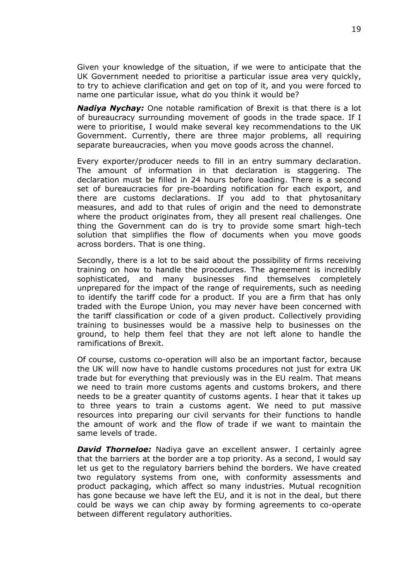Given your knowledge of the situation, if we were to anticipate that the UK Government needed to prioritise a particular issue area very quickly, to try to achieve clarification and get on top of it, and you were forced to name one particular issue, what do you think it would be?

*Nadiya Nychay:* One notable ramification of Brexit is that there is a lot of bureaucracy surrounding movement of goods in the trade space. If I were to prioritise, I would make several key recommendations to the UK Government. Currently, there are three major problems, all requiring separate bureaucracies, when you move goods across the channel.

Every exporter/producer needs to fill in an entry summary declaration. The amount of information in that declaration is staggering. The declaration must be filled in 24 hours before loading. There is a second set of bureaucracies for pre-boarding notification for each export, and there are customs declarations. If you add to that phytosanitary measures, and add to that rules of origin and the need to demonstrate where the product originates from, they all present real challenges. One thing the Government can do is try to provide some smart high-tech solution that simplifies the flow of documents when you move goods across borders. That is one thing.

Secondly, there is a lot to be said about the possibility of firms receiving training on how to handle the procedures. The agreement is incredibly sophisticated, and many businesses find themselves completely unprepared for the impact of the range of requirements, such as needing to identify the tariff code for a product. If you are a firm that has only traded with the Europe Union, you may never have been concerned with the tariff classification or code of a given product. Collectively providing training to businesses would be a massive help to businesses on the ground, to help them feel that they are not left alone to handle the ramifications of Brexit.

Of course, customs co-operation will also be an important factor, because the UK will now have to handle customs procedures not just for extra UK trade but for everything that previously was in the EU realm. That means we need to train more customs agents and customs brokers, and there needs to be a greater quantity of customs agents. I hear that it takes up to three years to train a customs agent. We need to put massive resources into preparing our civil servants for their functions to handle the amount of work and the flow of trade if we want to maintain the same levels of trade.

*David Thorneloe:* Nadiya gave an excellent answer. I certainly agree that the barriers at the border are a top priority. As a second, I would say let us get to the regulatory barriers behind the borders. We have created two regulatory systems from one, with conformity assessments and product packaging, which affect so many industries. Mutual recognition has gone because we have left the EU, and it is not in the deal, but there could be ways we can chip away by forming agreements to co-operate between different regulatory authorities.